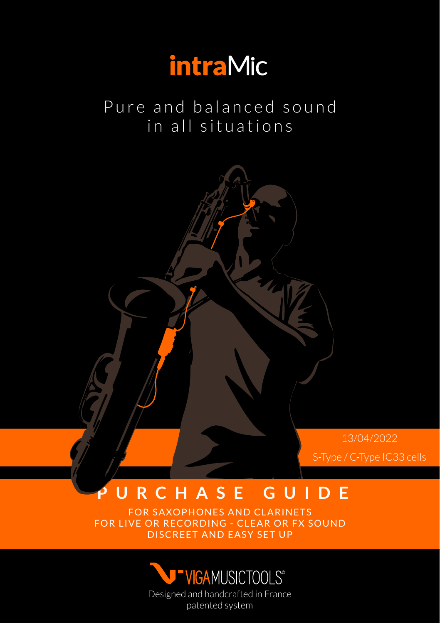

Pure and balanced sound in all situations

> 13/04/2022 S-Type / C-Type IC33 cells

#### **PURCHASE GUIDE**

FOR SAXOPHONES AND CLARINETS FOR LIVE OR RECORDING - CLEAR OR FX SOUND DISCREET AND EASY SET UP

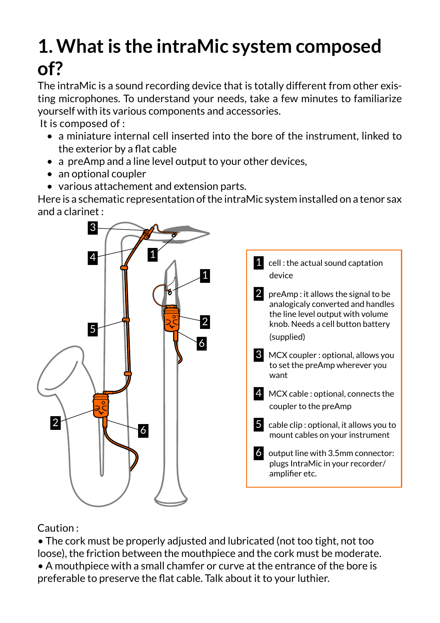## **1. What is the intraMic system composed of?**

The intraMic is a sound recording device that is totally different from other existing microphones. To understand your needs, take a few minutes to familiarize yourself with its various components and accessories.

It is composed of :

- a miniature internal cell inserted into the bore of the instrument, linked to the exterior by a flat cable
- a preAmp and a line level output to your other devices,
- an optional coupler
- various attachement and extension parts.

Here is a schematic representation of the intraMic system installed on a tenor sax and a clarinet :



Caution :

• The cork must be properly adjusted and lubricated (not too tight, not too loose), the friction between the mouthpiece and the cork must be moderate. • A mouthpiece with a small chamfer or curve at the entrance of the bore is preferable to preserve the flat cable. Talk about it to your luthier.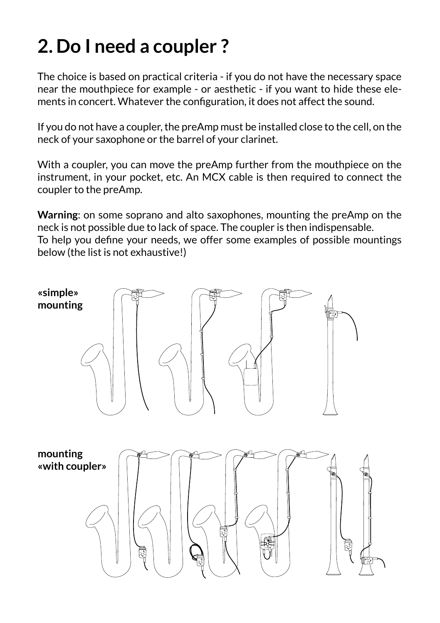## **2. Do I need a coupler ?**

The choice is based on practical criteria - if you do not have the necessary space near the mouthpiece for example - or aesthetic - if you want to hide these elements in concert. Whatever the configuration, it does not affect the sound.

If you do not have a coupler, the preAmp must be installed close to the cell, on the neck of your saxophone or the barrel of your clarinet.

With a coupler, you can move the preAmp further from the mouthpiece on the instrument, in your pocket, etc. An MCX cable is then required to connect the coupler to the preAmp.

**Warning**: on some soprano and alto saxophones, mounting the preAmp on the neck is not possible due to lack of space. The coupler is then indispensable. To help you define your needs, we offer some examples of possible mountings below (the list is not exhaustive!)

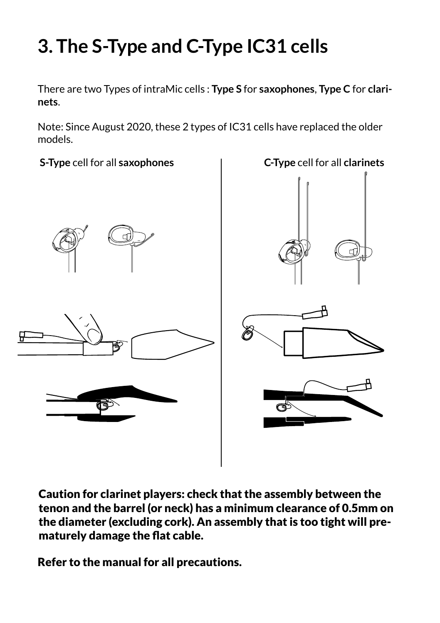# **3. The S-Type and C-Type IC31 cells**

There are two Types of intraMic cells : **Type S** for **saxophones**, **Type C** for **clarinets**.

Note: Since August 2020, these 2 types of IC31 cells have replaced the older models.



Caution for clarinet players: check that the assembly between the tenon and the barrel (or neck) has a minimum clearance of 0.5mm on the diameter (excluding cork). An assembly that is too tight will prematurely damage the flat cable.

Refer to the manual for all precautions.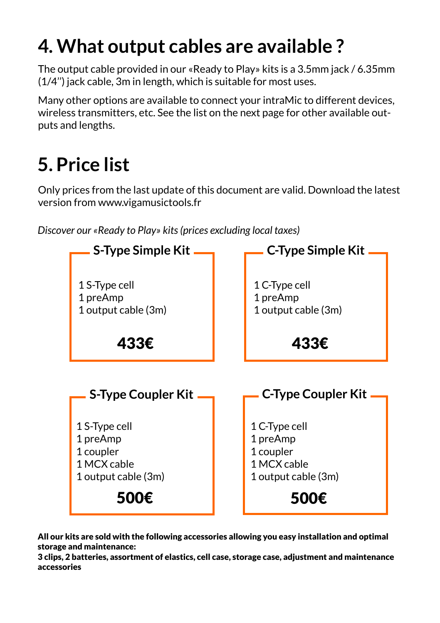### **4. What output cables are available ?**

The output cable provided in our «Ready to Play» kits is a 3.5mm jack / 6.35mm (1/4'') jack cable, 3m in length, which is suitable for most uses.

Many other options are available to connect your intraMic to different devices, wireless transmitters, etc. See the list on the next page for other available outputs and lengths.

#### **5. Price list**

Only prices from the last update of this document are valid. Download the latest version from www.vigamusictools.fr

*Discover our «Ready to Play» kits (prices excluding local taxes)*



All our kits are sold with the following accessories allowing you easy installation and optimal storage and maintenance:

3 clips, 2 batteries, assortment of elastics, cell case, storage case, adjustment and maintenance accessories